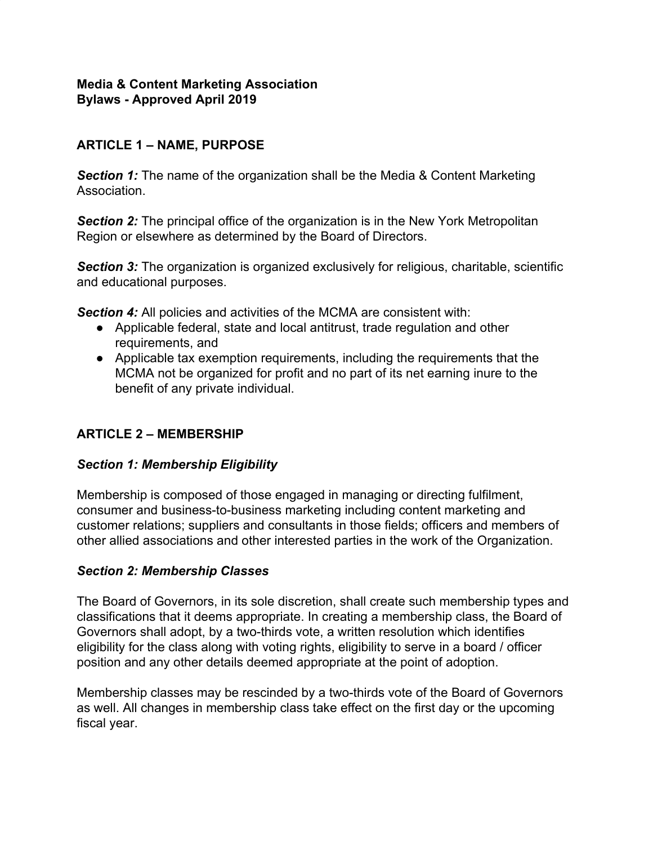## **Media & Content Marketing Association Bylaws - Approved April 2019**

# **ARTICLE 1 – NAME, PURPOSE**

**Section 1:** The name of the organization shall be the Media & Content Marketing Association.

**Section 2:** The principal office of the organization is in the New York Metropolitan Region or elsewhere as determined by the Board of Directors.

**Section 3:** The organization is organized exclusively for religious, charitable, scientific and educational purposes.

**Section 4:** All policies and activities of the MCMA are consistent with:

- Applicable federal, state and local antitrust, trade regulation and other requirements, and
- Applicable tax exemption requirements, including the requirements that the MCMA not be organized for profit and no part of its net earning inure to the benefit of any private individual.

# **ARTICLE 2 – MEMBERSHIP**

## *Section 1: Membership Eligibility*

Membership is composed of those engaged in managing or directing fulfilment, consumer and business-to-business marketing including content marketing and customer relations; suppliers and consultants in those fields; officers and members of other allied associations and other interested parties in the work of the Organization.

## *Section 2: Membership Classes*

The Board of Governors, in its sole discretion, shall create such membership types and classifications that it deems appropriate. In creating a membership class, the Board of Governors shall adopt, by a two-thirds vote, a written resolution which identifies eligibility for the class along with voting rights, eligibility to serve in a board / officer position and any other details deemed appropriate at the point of adoption.

Membership classes may be rescinded by a two-thirds vote of the Board of Governors as well. All changes in membership class take effect on the first day or the upcoming fiscal year.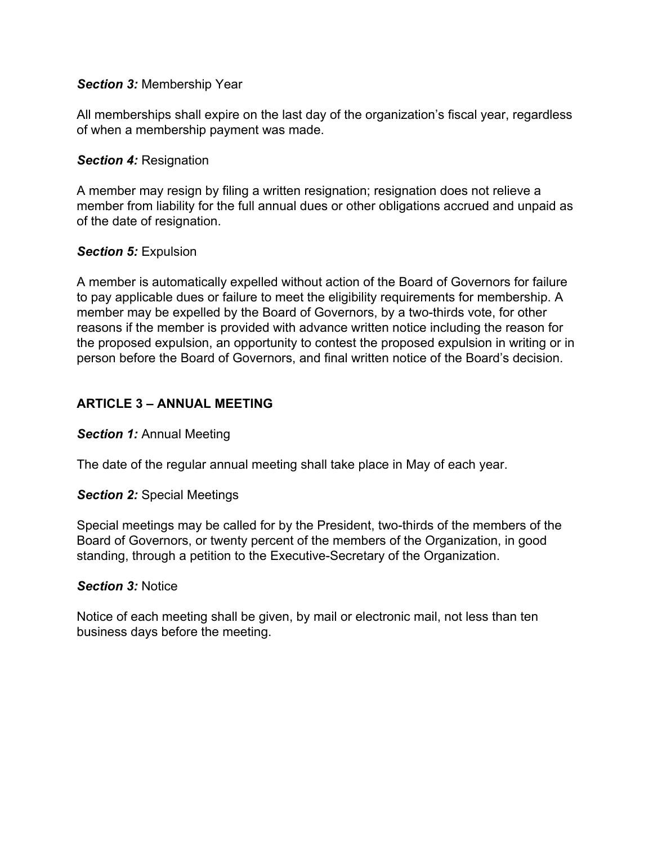### *Section 3:* Membership Year

All memberships shall expire on the last day of the organization's fiscal year, regardless of when a membership payment was made.

#### *Section 4:* Resignation

A member may resign by filing a written resignation; resignation does not relieve a member from liability for the full annual dues or other obligations accrued and unpaid as of the date of resignation.

#### *Section 5:* Expulsion

A member is automatically expelled without action of the Board of Governors for failure to pay applicable dues or failure to meet the eligibility requirements for membership. A member may be expelled by the Board of Governors, by a two-thirds vote, for other reasons if the member is provided with advance written notice including the reason for the proposed expulsion, an opportunity to contest the proposed expulsion in writing or in person before the Board of Governors, and final written notice of the Board's decision.

## **ARTICLE 3 – ANNUAL MEETING**

#### *Section 1:* Annual Meeting

The date of the regular annual meeting shall take place in May of each year.

#### *Section 2:* Special Meetings

Special meetings may be called for by the President, two-thirds of the members of the Board of Governors, or twenty percent of the members of the Organization, in good standing, through a petition to the Executive-Secretary of the Organization.

#### *Section 3:* Notice

Notice of each meeting shall be given, by mail or electronic mail, not less than ten business days before the meeting.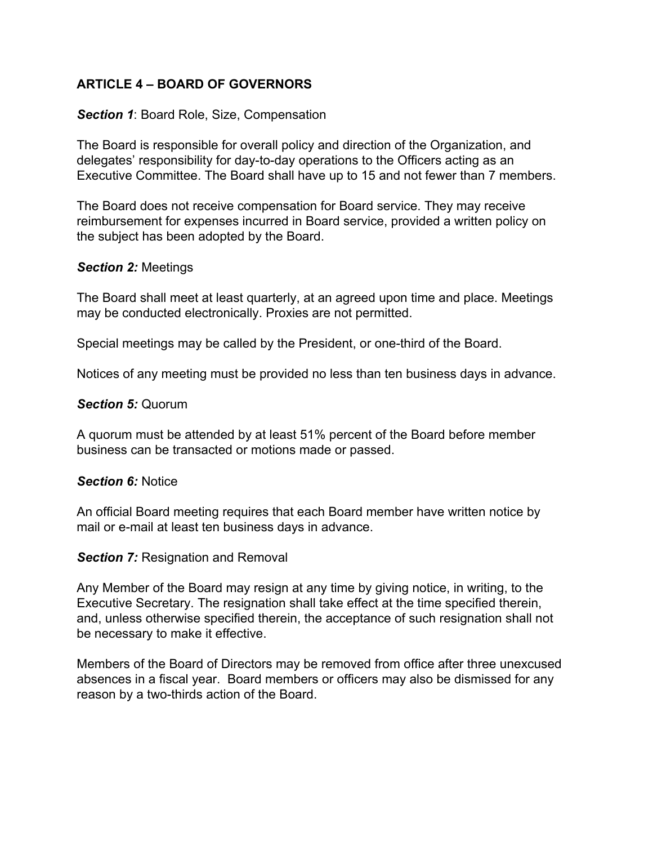## **ARTICLE 4 – BOARD OF GOVERNORS**

### *Section 1*: Board Role, Size, Compensation

The Board is responsible for overall policy and direction of the Organization, and delegates' responsibility for day-to-day operations to the Officers acting as an Executive Committee. The Board shall have up to 15 and not fewer than 7 members.

The Board does not receive compensation for Board service. They may receive reimbursement for expenses incurred in Board service, provided a written policy on the subject has been adopted by the Board.

#### *Section 2:* Meetings

The Board shall meet at least quarterly, at an agreed upon time and place. Meetings may be conducted electronically. Proxies are not permitted.

Special meetings may be called by the President, or one-third of the Board.

Notices of any meeting must be provided no less than ten business days in advance.

#### *Section 5:* Quorum

A quorum must be attended by at least 51% percent of the Board before member business can be transacted or motions made or passed.

#### *Section 6:* Notice

An official Board meeting requires that each Board member have written notice by mail or e-mail at least ten business days in advance.

#### **Section 7: Resignation and Removal**

Any Member of the Board may resign at any time by giving notice, in writing, to the Executive Secretary. The resignation shall take effect at the time specified therein, and, unless otherwise specified therein, the acceptance of such resignation shall not be necessary to make it effective.

Members of the Board of Directors may be removed from office after three unexcused absences in a fiscal year. Board members or officers may also be dismissed for any reason by a two-thirds action of the Board.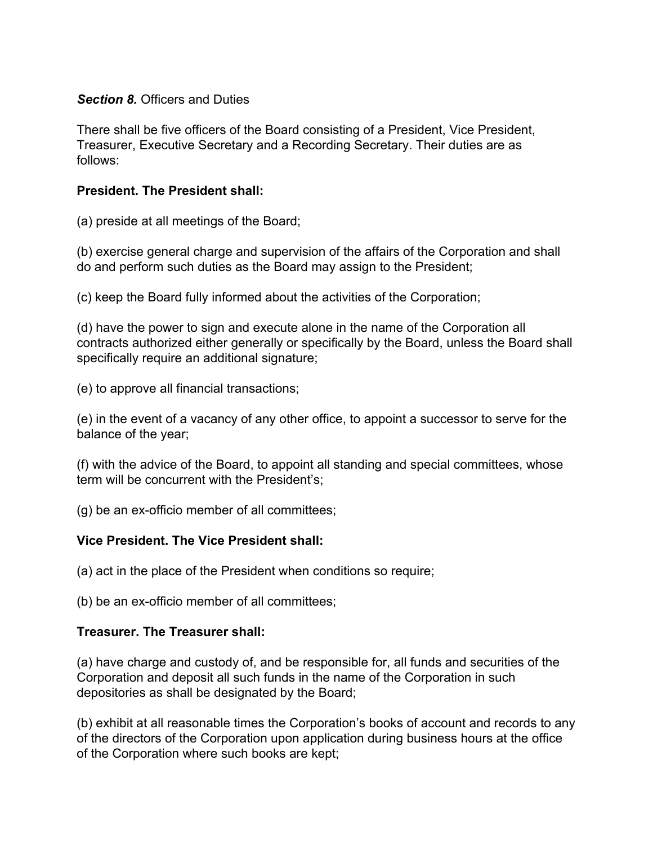### **Section 8. Officers and Duties**

There shall be five officers of the Board consisting of a President, Vice President, Treasurer, Executive Secretary and a Recording Secretary. Their duties are as follows:

## **President. The President shall:**

(a) preside at all meetings of the Board;

(b) exercise general charge and supervision of the affairs of the Corporation and shall do and perform such duties as the Board may assign to the President;

(c) keep the Board fully informed about the activities of the Corporation;

(d) have the power to sign and execute alone in the name of the Corporation all contracts authorized either generally or specifically by the Board, unless the Board shall specifically require an additional signature;

(e) to approve all financial transactions;

(e) in the event of a vacancy of any other office, to appoint a successor to serve for the balance of the year;

(f) with the advice of the Board, to appoint all standing and special committees, whose term will be concurrent with the President's;

(g) be an ex-officio member of all committees;

## **Vice President. The Vice President shall:**

(a) act in the place of the President when conditions so require;

(b) be an ex-officio member of all committees;

## **Treasurer. The Treasurer shall:**

(a) have charge and custody of, and be responsible for, all funds and securities of the Corporation and deposit all such funds in the name of the Corporation in such depositories as shall be designated by the Board;

(b) exhibit at all reasonable times the Corporation's books of account and records to any of the directors of the Corporation upon application during business hours at the office of the Corporation where such books are kept;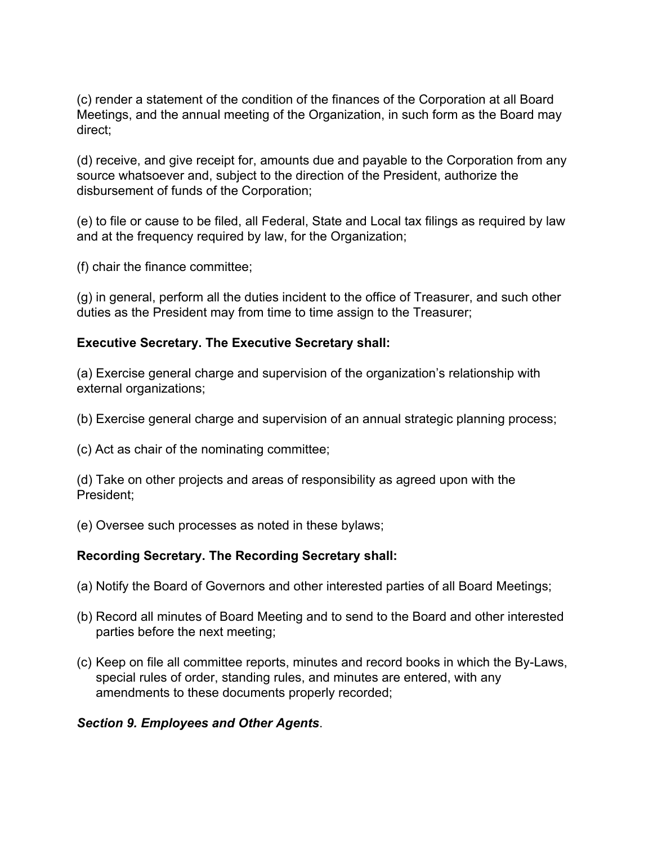(c) render a statement of the condition of the finances of the Corporation at all Board Meetings, and the annual meeting of the Organization, in such form as the Board may direct;

(d) receive, and give receipt for, amounts due and payable to the Corporation from any source whatsoever and, subject to the direction of the President, authorize the disbursement of funds of the Corporation;

(e) to file or cause to be filed, all Federal, State and Local tax filings as required by law and at the frequency required by law, for the Organization;

(f) chair the finance committee;

(g) in general, perform all the duties incident to the office of Treasurer, and such other duties as the President may from time to time assign to the Treasurer;

## **Executive Secretary. The Executive Secretary shall:**

(a) Exercise general charge and supervision of the organization's relationship with external organizations;

- (b) Exercise general charge and supervision of an annual strategic planning process;
- (c) Act as chair of the nominating committee;

(d) Take on other projects and areas of responsibility as agreed upon with the President;

(e) Oversee such processes as noted in these bylaws;

## **Recording Secretary. The Recording Secretary shall:**

- (a) Notify the Board of Governors and other interested parties of all Board Meetings;
- (b) Record all minutes of Board Meeting and to send to the Board and other interested parties before the next meeting;
- (c) Keep on file all committee reports, minutes and record books in which the By-Laws, special rules of order, standing rules, and minutes are entered, with any amendments to these documents properly recorded;

### *Section 9. Employees and Other Agents*.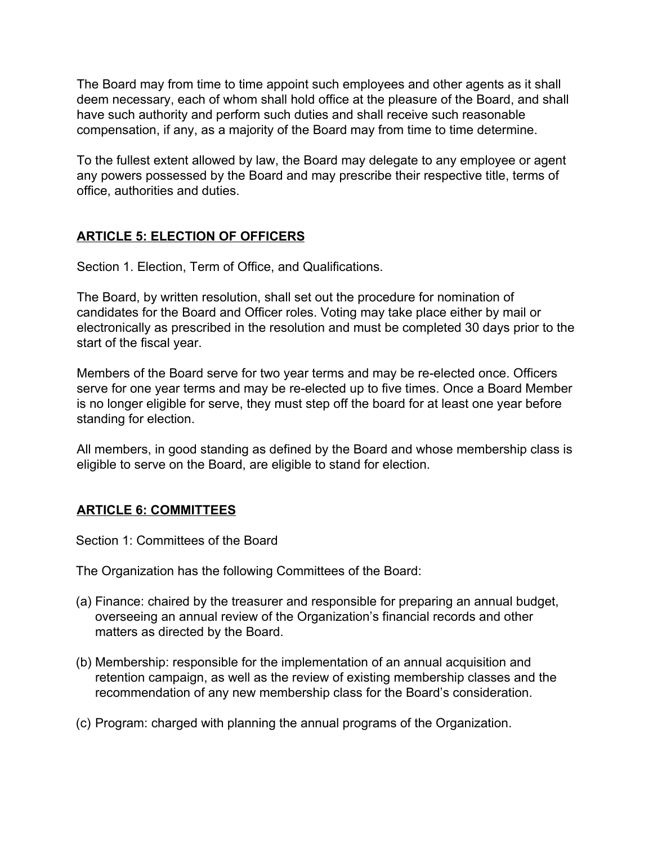The Board may from time to time appoint such employees and other agents as it shall deem necessary, each of whom shall hold office at the pleasure of the Board, and shall have such authority and perform such duties and shall receive such reasonable compensation, if any, as a majority of the Board may from time to time determine.

To the fullest extent allowed by law, the Board may delegate to any employee or agent any powers possessed by the Board and may prescribe their respective title, terms of office, authorities and duties.

## **ARTICLE 5: ELECTION OF OFFICERS**

Section 1. Election, Term of Office, and Qualifications.

The Board, by written resolution, shall set out the procedure for nomination of candidates for the Board and Officer roles. Voting may take place either by mail or electronically as prescribed in the resolution and must be completed 30 days prior to the start of the fiscal year.

Members of the Board serve for two year terms and may be re-elected once. Officers serve for one year terms and may be re-elected up to five times. Once a Board Member is no longer eligible for serve, they must step off the board for at least one year before standing for election.

All members, in good standing as defined by the Board and whose membership class is eligible to serve on the Board, are eligible to stand for election.

## **ARTICLE 6: COMMITTEES**

Section 1: Committees of the Board

The Organization has the following Committees of the Board:

- (a) Finance: chaired by the treasurer and responsible for preparing an annual budget, overseeing an annual review of the Organization's financial records and other matters as directed by the Board.
- (b) Membership: responsible for the implementation of an annual acquisition and retention campaign, as well as the review of existing membership classes and the recommendation of any new membership class for the Board's consideration.
- (c) Program: charged with planning the annual programs of the Organization.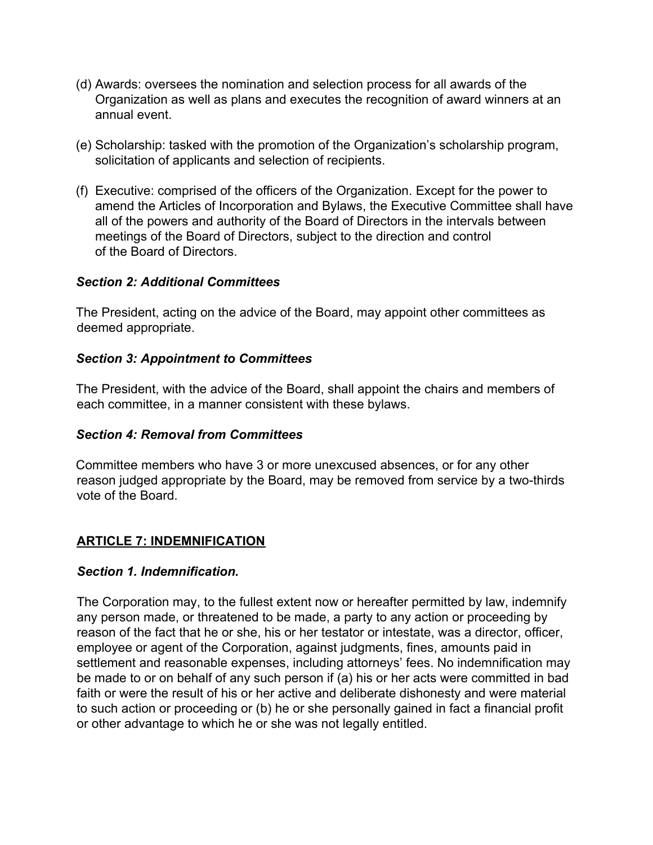- (d) Awards: oversees the nomination and selection process for all awards of the Organization as well as plans and executes the recognition of award winners at an annual event.
- (e) Scholarship: tasked with the promotion of the Organization's scholarship program, solicitation of applicants and selection of recipients.
- (f) Executive: comprised of the officers of the Organization. Except for the power to amend the Articles of Incorporation and Bylaws, the Executive Committee shall have all of the powers and authority of the Board of Directors in the intervals between meetings of the Board of Directors, subject to the direction and control of the Board of Directors.

### *Section 2: Additional Committees*

The President, acting on the advice of the Board, may appoint other committees as deemed appropriate.

## *Section 3: Appointment to Committees*

The President, with the advice of the Board, shall appoint the chairs and members of each committee, in a manner consistent with these bylaws.

### *Section 4: Removal from Committees*

Committee members who have 3 or more unexcused absences, or for any other reason judged appropriate by the Board, may be removed from service by a two-thirds vote of the Board.

## **ARTICLE 7: INDEMNIFICATION**

### *Section 1. Indemnification.*

The Corporation may, to the fullest extent now or hereafter permitted by law, indemnify any person made, or threatened to be made, a party to any action or proceeding by reason of the fact that he or she, his or her testator or intestate, was a director, officer, employee or agent of the Corporation, against judgments, fines, amounts paid in settlement and reasonable expenses, including attorneys' fees. No indemnification may be made to or on behalf of any such person if (a) his or her acts were committed in bad faith or were the result of his or her active and deliberate dishonesty and were material to such action or proceeding or (b) he or she personally gained in fact a financial profit or other advantage to which he or she was not legally entitled.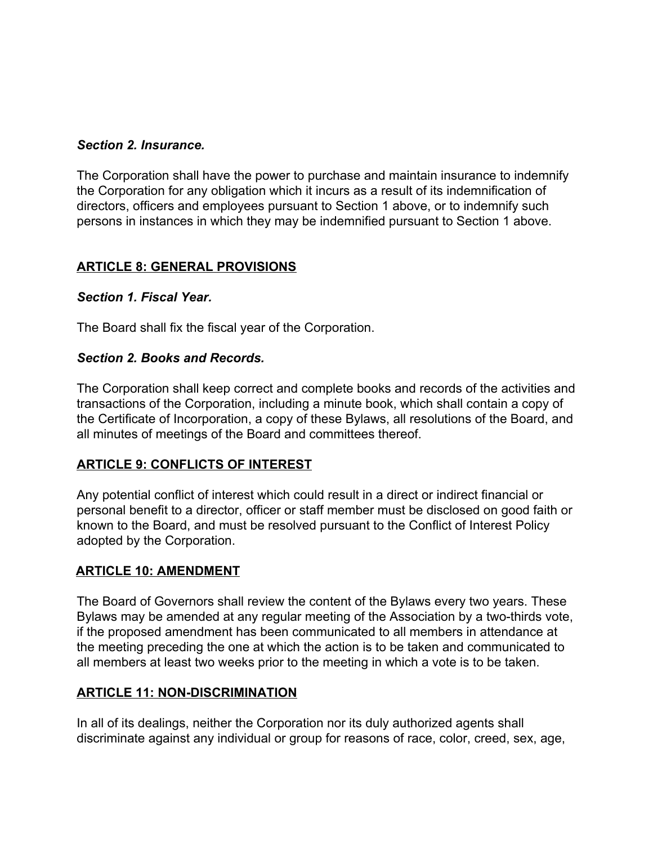## *Section 2. Insurance.*

The Corporation shall have the power to purchase and maintain insurance to indemnify the Corporation for any obligation which it incurs as a result of its indemnification of directors, officers and employees pursuant to Section 1 above, or to indemnify such persons in instances in which they may be indemnified pursuant to Section 1 above.

## **ARTICLE 8: GENERAL PROVISIONS**

## *Section 1. Fiscal Year.*

The Board shall fix the fiscal year of the Corporation.

## *Section 2. Books and Records.*

The Corporation shall keep correct and complete books and records of the activities and transactions of the Corporation, including a minute book, which shall contain a copy of the Certificate of Incorporation, a copy of these Bylaws, all resolutions of the Board, and all minutes of meetings of the Board and committees thereof.

## **ARTICLE 9: CONFLICTS OF INTEREST**

Any potential conflict of interest which could result in a direct or indirect financial or personal benefit to a director, officer or staff member must be disclosed on good faith or known to the Board, and must be resolved pursuant to the Conflict of Interest Policy adopted by the Corporation.

### **ARTICLE 10: AMENDMENT**

The Board of Governors shall review the content of the Bylaws every two years. These Bylaws may be amended at any regular meeting of the Association by a two-thirds vote, if the proposed amendment has been communicated to all members in attendance at the meeting preceding the one at which the action is to be taken and communicated to all members at least two weeks prior to the meeting in which a vote is to be taken.

### **ARTICLE 11: NON-DISCRIMINATION**

In all of its dealings, neither the Corporation nor its duly authorized agents shall discriminate against any individual or group for reasons of race, color, creed, sex, age,